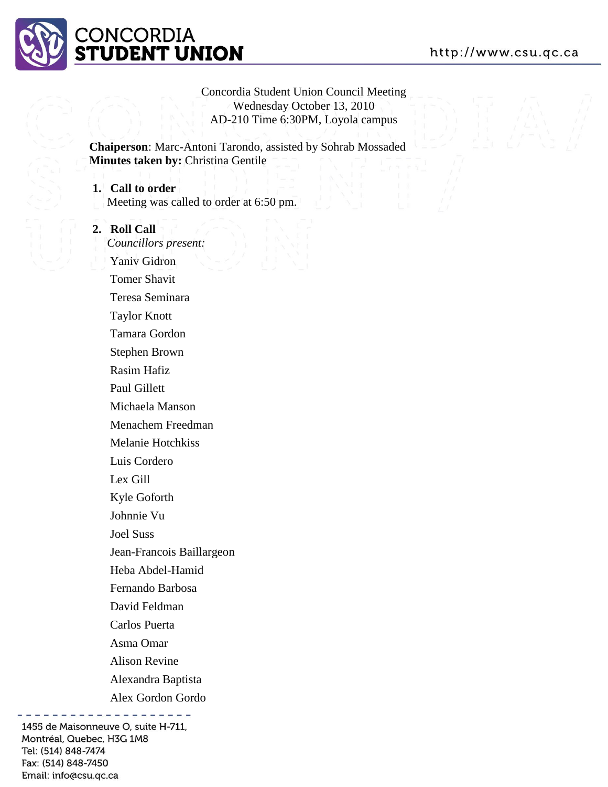

Concordia Student Union Council Meeting Wednesday October 13, 2010 AD-210 Time 6:30PM, Loyola campus

**Chaiperson**: Marc-Antoni Tarondo, assisted by Sohrab Mossaded **Minutes taken by:** Christina Gentile

- **1. Call to order** Meeting was called to order at 6:50 pm.
- **2. Roll Call**

*Councillors present:*

Yaniv Gidron Tomer Shavit

- Teresa Seminara
- Taylor Knott
- Tamara Gordon
- Stephen Brown
- Rasim Hafiz
- Paul Gillett
- Michaela Manson
- Menachem Freedman
- Melanie Hotchkiss
- Luis Cordero
- Lex Gill
- Kyle Goforth
- Johnnie Vu
- Joel Suss
- Jean-Francois Baillargeon
- Heba Abdel-Hamid
- Fernando Barbosa
- David Feldman
- Carlos Puerta
- Asma Omar
- Alison Revine
- Alexandra Baptista
- Alex Gordon Gordo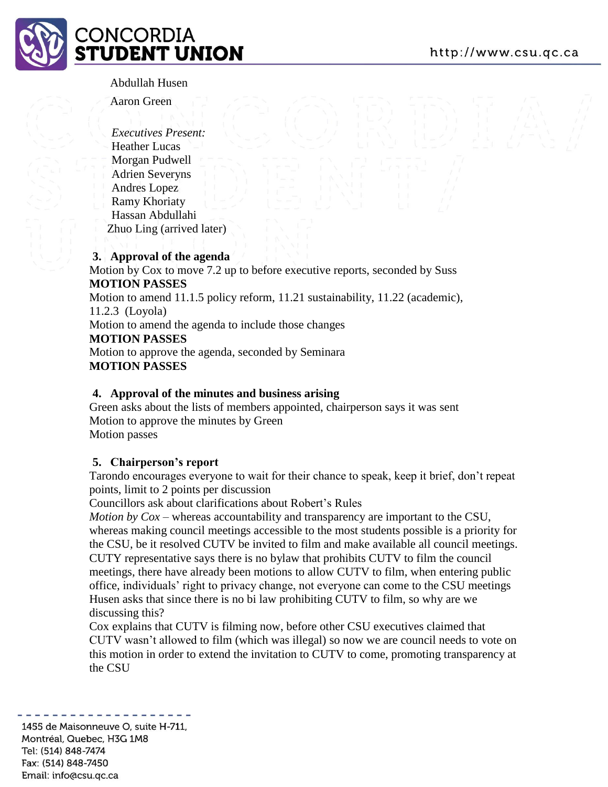

Abdullah Husen

Aaron Green

*Executives Present:* Heather Lucas Morgan Pudwell Adrien Severyns Andres Lopez Ramy Khoriaty Hassan Abdullahi Zhuo Ling (arrived later)

#### **3. Approval of the agenda**

Motion by Cox to move 7.2 up to before executive reports, seconded by Suss **MOTION PASSES**

Motion to amend 11.1.5 policy reform, 11.21 sustainability, 11.22 (academic),

11.2.3 (Loyola)

Motion to amend the agenda to include those changes

#### **MOTION PASSES**

Motion to approve the agenda, seconded by Seminara **MOTION PASSES**

#### **4. Approval of the minutes and business arising**

Green asks about the lists of members appointed, chairperson says it was sent Motion to approve the minutes by Green Motion passes

#### **5. Chairperson's report**

Tarondo encourages everyone to wait for their chance to speak, keep it brief, don't repeat points, limit to 2 points per discussion

Councillors ask about clarifications about Robert's Rules

*Motion by Cox* – whereas accountability and transparency are important to the CSU, whereas making council meetings accessible to the most students possible is a priority for the CSU, be it resolved CUTV be invited to film and make available all council meetings. CUTY representative says there is no bylaw that prohibits CUTV to film the council meetings, there have already been motions to allow CUTV to film, when entering public office, individuals' right to privacy change, not everyone can come to the CSU meetings Husen asks that since there is no bi law prohibiting CUTV to film, so why are we discussing this?

Cox explains that CUTV is filming now, before other CSU executives claimed that CUTV wasn't allowed to film (which was illegal) so now we are council needs to vote on this motion in order to extend the invitation to CUTV to come, promoting transparency at the CSU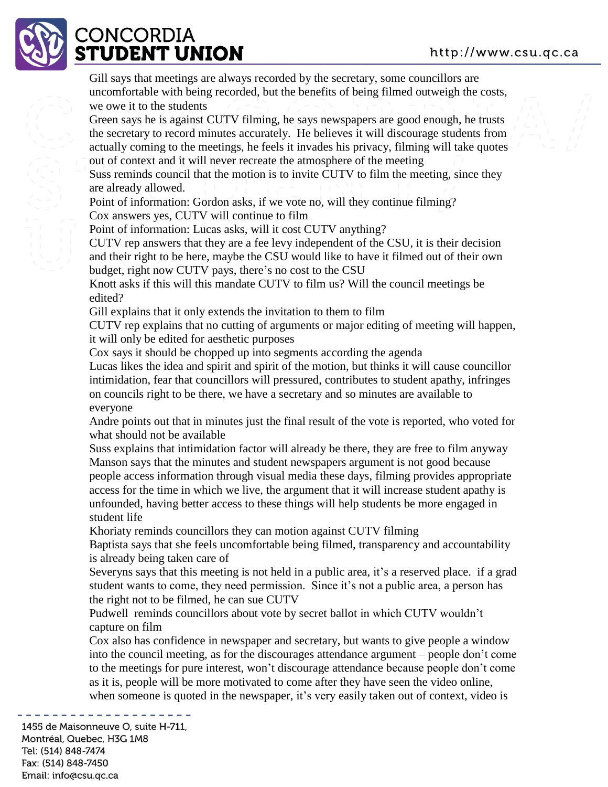# **CONCORDIA** STUDENT UNION

Gill says that meetings are always recorded by the secretary, some councillors are uncomfortable with being recorded, but the benefits of being filmed outweigh the costs, we owe it to the students

Green says he is against CUTV filming, he says newspapers are good enough, he trusts the secretary to record minutes accurately. He believes it will discourage students from actually coming to the meetings, he feels it invades his privacy, filming will take quotes out of context and it will never recreate the atmosphere of the meeting

Suss reminds council that the motion is to invite CUTV to film the meeting, since they are already allowed.

Point of information: Gordon asks, if we vote no, will they continue filming? Cox answers yes, CUTV will continue to film

Point of information: Lucas asks, will it cost CUTV anything?

CUTV rep answers that they are a fee levy independent of the CSU, it is their decision and their right to be here, maybe the CSU would like to have it filmed out of their own budget, right now CUTV pays, there's no cost to the CSU

Knott asks if this will this mandate CUTV to film us? Will the council meetings be edited?

Gill explains that it only extends the invitation to them to film

CUTV rep explains that no cutting of arguments or major editing of meeting will happen, it will only be edited for aesthetic purposes

Cox says it should be chopped up into segments according the agenda

Lucas likes the idea and spirit and spirit of the motion, but thinks it will cause councillor intimidation, fear that councillors will pressured, contributes to student apathy, infringes on councils right to be there, we have a secretary and so minutes are available to everyone

Andre points out that in minutes just the final result of the vote is reported, who voted for what should not be available

Suss explains that intimidation factor will already be there, they are free to film anyway Manson says that the minutes and student newspapers argument is not good because people access information through visual media these days, filming provides appropriate access for the time in which we live, the argument that it will increase student apathy is unfounded, having better access to these things will help students be more engaged in student life

Khoriaty reminds councillors they can motion against CUTV filming

Baptista says that she feels uncomfortable being filmed, transparency and accountability is already being taken care of

Severyns says that this meeting is not held in a public area, it's a reserved place. if a grad student wants to come, they need permission. Since it's not a public area, a person has the right not to be filmed, he can sue CUTV

Pudwell reminds councillors about vote by secret ballot in which CUTV wouldn't capture on film

Cox also has confidence in newspaper and secretary, but wants to give people a window into the council meeting, as for the discourages attendance argument – people don't come to the meetings for pure interest, won't discourage attendance because people don't come as it is, people will be more motivated to come after they have seen the video online, when someone is quoted in the newspaper, it's very easily taken out of context, video is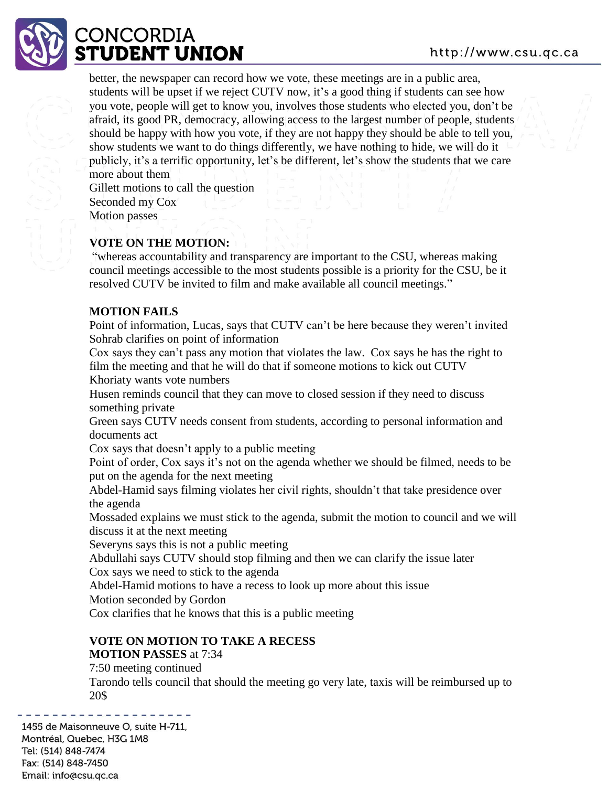

better, the newspaper can record how we vote, these meetings are in a public area, students will be upset if we reject CUTV now, it's a good thing if students can see how you vote, people will get to know you, involves those students who elected you, don't be afraid, its good PR, democracy, allowing access to the largest number of people, students should be happy with how you vote, if they are not happy they should be able to tell you, show students we want to do things differently, we have nothing to hide, we will do it publicly, it's a terrific opportunity, let's be different, let's show the students that we care more about them

Gillett motions to call the question Seconded my Cox Motion passes

# **VOTE ON THE MOTION:**

"whereas accountability and transparency are important to the CSU, whereas making council meetings accessible to the most students possible is a priority for the CSU, be it resolved CUTV be invited to film and make available all council meetings."

# **MOTION FAILS**

Point of information, Lucas, says that CUTV can't be here because they weren't invited Sohrab clarifies on point of information

Cox says they can't pass any motion that violates the law. Cox says he has the right to film the meeting and that he will do that if someone motions to kick out CUTV Khoriaty wants vote numbers

Husen reminds council that they can move to closed session if they need to discuss something private

Green says CUTV needs consent from students, according to personal information and documents act

Cox says that doesn't apply to a public meeting

Point of order, Cox says it's not on the agenda whether we should be filmed, needs to be put on the agenda for the next meeting

Abdel-Hamid says filming violates her civil rights, shouldn't that take presidence over the agenda

Mossaded explains we must stick to the agenda, submit the motion to council and we will discuss it at the next meeting

Severyns says this is not a public meeting

Abdullahi says CUTV should stop filming and then we can clarify the issue later Cox says we need to stick to the agenda

Abdel-Hamid motions to have a recess to look up more about this issue

Motion seconded by Gordon

Cox clarifies that he knows that this is a public meeting

# **VOTE ON MOTION TO TAKE A RECESS**

### **MOTION PASSES** at 7:34

7:50 meeting continued

Tarondo tells council that should the meeting go very late, taxis will be reimbursed up to 20\$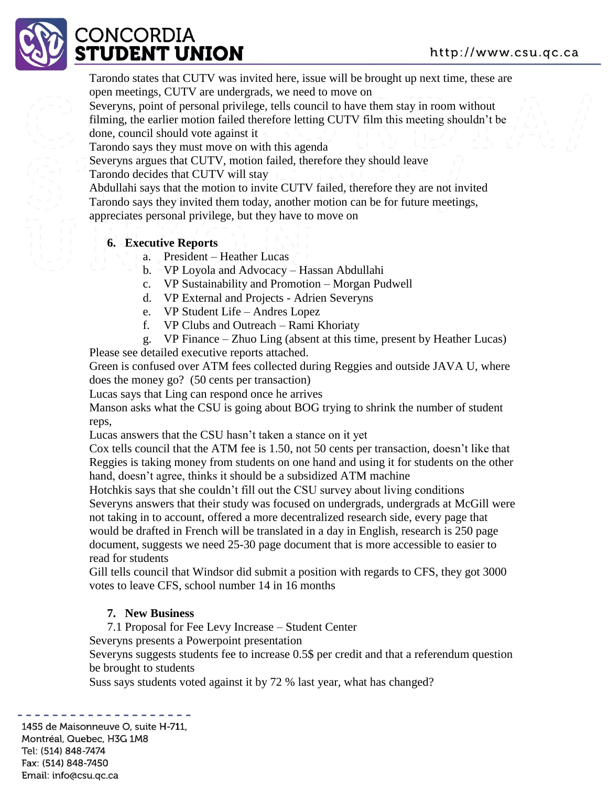# **CONCORDIA :TUDENT UNION**

Tarondo states that CUTV was invited here, issue will be brought up next time, these are open meetings, CUTV are undergrads, we need to move on

Severyns, point of personal privilege, tells council to have them stay in room without filming, the earlier motion failed therefore letting CUTV film this meeting shouldn't be done, council should vote against it

Tarondo says they must move on with this agenda

Severyns argues that CUTV, motion failed, therefore they should leave

Tarondo decides that CUTV will stay

Abdullahi says that the motion to invite CUTV failed, therefore they are not invited Tarondo says they invited them today, another motion can be for future meetings, appreciates personal privilege, but they have to move on

# **6. Executive Reports**

- a. President Heather Lucas
	- b.  $\forall$ P Loyola and Advocacy Hassan Abdullahi
	- c. VP Sustainability and Promotion Morgan Pudwell
	- d. VP External and Projects Adrien Severyns
	- e. VP Student Life Andres Lopez
	- f. VP Clubs and Outreach Rami Khoriaty
- g. VP Finance Zhuo Ling (absent at this time, present by Heather Lucas)

Please see detailed executive reports attached.

Green is confused over ATM fees collected during Reggies and outside JAVA U, where does the money go? (50 cents per transaction)

Lucas says that Ling can respond once he arrives

Manson asks what the CSU is going about BOG trying to shrink the number of student reps,

Lucas answers that the CSU hasn't taken a stance on it yet

Cox tells council that the ATM fee is 1.50, not 50 cents per transaction, doesn't like that Reggies is taking money from students on one hand and using it for students on the other hand, doesn't agree, thinks it should be a subsidized ATM machine

Hotchkis says that she couldn't fill out the CSU survey about living conditions

Severyns answers that their study was focused on undergrads, undergrads at McGill were not taking in to account, offered a more decentralized research side, every page that would be drafted in French will be translated in a day in English, research is 250 page document, suggests we need 25-30 page document that is more accessible to easier to read for students

Gill tells council that Windsor did submit a position with regards to CFS, they got 3000 votes to leave CFS, school number 14 in 16 months

# **7. New Business**

7.1 Proposal for Fee Levy Increase – Student Center

Severyns presents a Powerpoint presentation

Severyns suggests students fee to increase 0.5\$ per credit and that a referendum question be brought to students

Suss says students voted against it by 72 % last year, what has changed?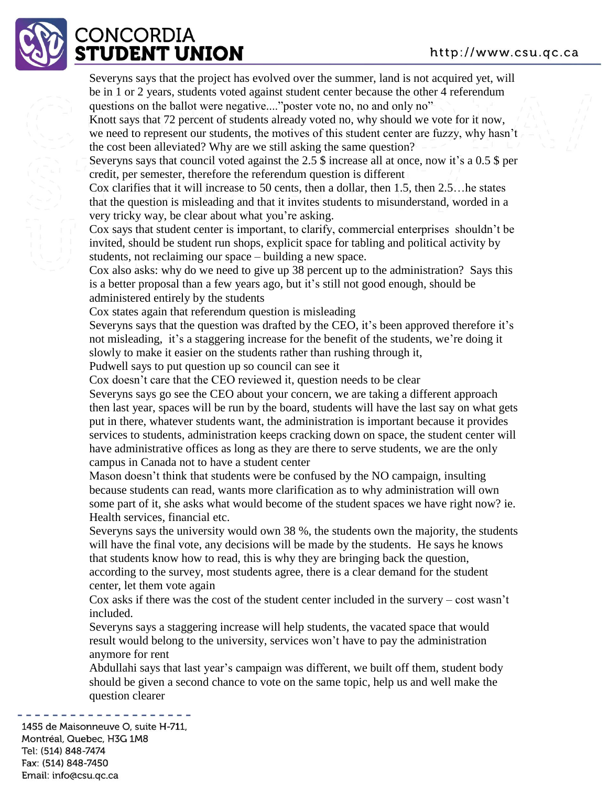

Severyns says that the project has evolved over the summer, land is not acquired yet, will be in 1 or 2 years, students voted against student center because the other 4 referendum questions on the ballot were negative...."poster vote no, no and only no"

Knott says that 72 percent of students already voted no, why should we vote for it now, we need to represent our students, the motives of this student center are fuzzy, why hasn't the cost been alleviated? Why are we still asking the same question?

Severyns says that council voted against the 2.5 \$ increase all at once, now it's a 0.5 \$ per credit, per semester, therefore the referendum question is different

Cox clarifies that it will increase to 50 cents, then a dollar, then  $1.5$ , then  $2.5$ ... he states that the question is misleading and that it invites students to misunderstand, worded in a very tricky way, be clear about what you're asking.

Cox says that student center is important, to clarify, commercial enterprises shouldn't be invited, should be student run shops, explicit space for tabling and political activity by students, not reclaiming our space – building a new space.

Cox also asks: why do we need to give up 38 percent up to the administration? Says this is a better proposal than a few years ago, but it's still not good enough, should be administered entirely by the students

Cox states again that referendum question is misleading

Severyns says that the question was drafted by the CEO, it's been approved therefore it's not misleading, it's a staggering increase for the benefit of the students, we're doing it slowly to make it easier on the students rather than rushing through it,

Pudwell says to put question up so council can see it

Cox doesn't care that the CEO reviewed it, question needs to be clear

Severyns says go see the CEO about your concern, we are taking a different approach then last year, spaces will be run by the board, students will have the last say on what gets put in there, whatever students want, the administration is important because it provides services to students, administration keeps cracking down on space, the student center will have administrative offices as long as they are there to serve students, we are the only campus in Canada not to have a student center

Mason doesn't think that students were be confused by the NO campaign, insulting because students can read, wants more clarification as to why administration will own some part of it, she asks what would become of the student spaces we have right now? ie. Health services, financial etc.

Severyns says the university would own 38 %, the students own the majority, the students will have the final vote, any decisions will be made by the students. He says he knows that students know how to read, this is why they are bringing back the question, according to the survey, most students agree, there is a clear demand for the student center, let them vote again

Cox asks if there was the cost of the student center included in the survery – cost wasn't included.

Severyns says a staggering increase will help students, the vacated space that would result would belong to the university, services won't have to pay the administration anymore for rent

Abdullahi says that last year's campaign was different, we built off them, student body should be given a second chance to vote on the same topic, help us and well make the question clearer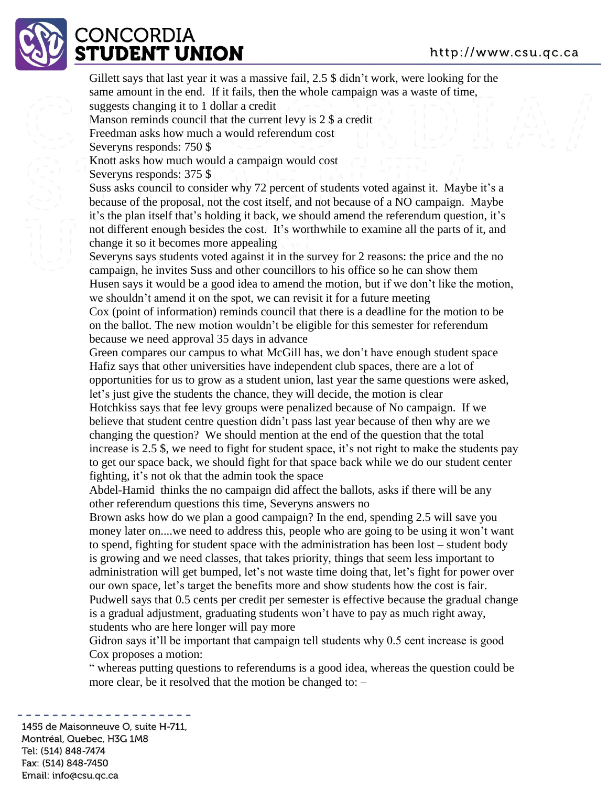# **CONCORDIA STUDENT UNION**

Gillett says that last year it was a massive fail, 2.5 \$ didn't work, were looking for the same amount in the end. If it fails, then the whole campaign was a waste of time, suggests changing it to 1 dollar a credit Manson reminds council that the current levy is 2 \$ a credit Freedman asks how much a would referendum cost Severyns responds: 750 \$ Knott asks how much would a campaign would cost Severyns responds: 375 \$ Suss asks council to consider why 72 percent of students voted against it. Maybe it's a because of the proposal, not the cost itself, and not because of a NO campaign. Maybe it's the plan itself that's holding it back, we should amend the referendum question, it's not different enough besides the cost. It's worthwhile to examine all the parts of it, and change it so it becomes more appealing Severyns says students voted against it in the survey for 2 reasons: the price and the no campaign, he invites Suss and other councillors to his office so he can show them Husen says it would be a good idea to amend the motion, but if we don't like the motion, we shouldn't amend it on the spot, we can revisit it for a future meeting Cox (point of information) reminds council that there is a deadline for the motion to be on the ballot. The new motion wouldn't be eligible for this semester for referendum because we need approval 35 days in advance Green compares our campus to what McGill has, we don't have enough student space Hafiz says that other universities have independent club spaces, there are a lot of opportunities for us to grow as a student union, last year the same questions were asked, let's just give the students the chance, they will decide, the motion is clear Hotchkiss says that fee levy groups were penalized because of No campaign. If we believe that student centre question didn't pass last year because of then why are we changing the question? We should mention at the end of the question that the total increase is 2.5 \$, we need to fight for student space, it's not right to make the students pay to get our space back, we should fight for that space back while we do our student center fighting, it's not ok that the admin took the space Abdel-Hamid thinks the no campaign did affect the ballots, asks if there will be any other referendum questions this time, Severyns answers no

Brown asks how do we plan a good campaign? In the end, spending 2.5 will save you money later on....we need to address this, people who are going to be using it won't want to spend, fighting for student space with the administration has been lost – student body is growing and we need classes, that takes priority, things that seem less important to administration will get bumped, let's not waste time doing that, let's fight for power over our own space, let's target the benefits more and show students how the cost is fair. Pudwell says that 0.5 cents per credit per semester is effective because the gradual change is a gradual adjustment, graduating students won't have to pay as much right away, students who are here longer will pay more

Gidron says it'll be important that campaign tell students why 0.5 cent increase is good Cox proposes a motion:

" whereas putting questions to referendums is a good idea, whereas the question could be more clear, be it resolved that the motion be changed to:  $-$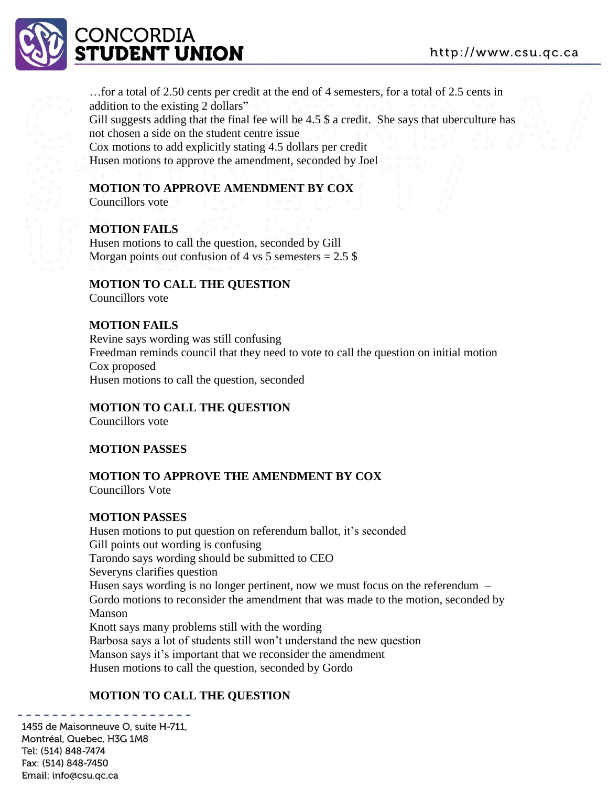

…for a total of 2.50 cents per credit at the end of 4 semesters, for a total of 2.5 cents in addition to the existing 2 dollars" Gill suggests adding that the final fee will be 4.5 \$ a credit. She says that uberculture has not chosen a side on the student centre issue

Cox motions to add explicitly stating 4.5 dollars per credit Husen motions to approve the amendment, seconded by Joel

# **MOTION TO APPROVE AMENDMENT BY COX**

Councillors vote

# **MOTION FAILS**

Husen motions to call the question, seconded by Gill Morgan points out confusion of 4 vs 5 semesters  $= 2.5$  \$

**MOTION TO CALL THE QUESTION** Councillors vote

#### **MOTION FAILS**

Revine says wording was still confusing Freedman reminds council that they need to vote to call the question on initial motion Cox proposed Husen motions to call the question, seconded

**MOTION TO CALL THE QUESTION**

Councillors vote

#### **MOTION PASSES**

**MOTION TO APPROVE THE AMENDMENT BY COX** Councillors Vote

#### **MOTION PASSES**

Husen motions to put question on referendum ballot, it's seconded Gill points out wording is confusing Tarondo says wording should be submitted to CEO Severyns clarifies question Husen says wording is no longer pertinent, now we must focus on the referendum – Gordo motions to reconsider the amendment that was made to the motion, seconded by Manson Knott says many problems still with the wording Barbosa says a lot of students still won't understand the new question Manson says it's important that we reconsider the amendment Husen motions to call the question, seconded by Gordo

### **MOTION TO CALL THE QUESTION**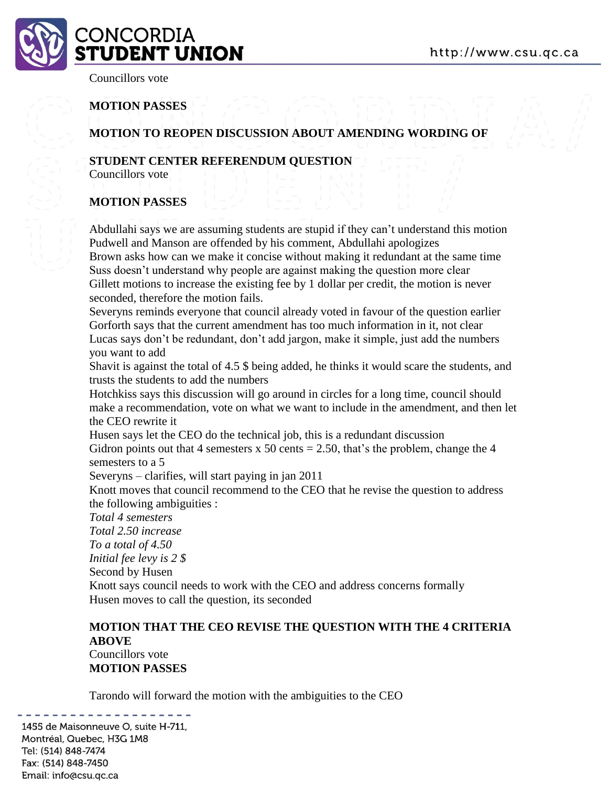

Councillors vote

# **MOTION PASSES**

# **MOTION TO REOPEN DISCUSSION ABOUT AMENDING WORDING OF**

#### **STUDENT CENTER REFERENDUM QUESTION** Councillors vote

# **MOTION PASSES**

Abdullahi says we are assuming students are stupid if they can't understand this motion Pudwell and Manson are offended by his comment, Abdullahi apologizes Brown asks how can we make it concise without making it redundant at the same time Suss doesn't understand why people are against making the question more clear Gillett motions to increase the existing fee by 1 dollar per credit, the motion is never seconded, therefore the motion fails.

Severyns reminds everyone that council already voted in favour of the question earlier Gorforth says that the current amendment has too much information in it, not clear Lucas says don't be redundant, don't add jargon, make it simple, just add the numbers you want to add

Shavit is against the total of 4.5 \$ being added, he thinks it would scare the students, and trusts the students to add the numbers

Hotchkiss says this discussion will go around in circles for a long time, council should make a recommendation, vote on what we want to include in the amendment, and then let the CEO rewrite it

Husen says let the CEO do the technical job, this is a redundant discussion Gidron points out that 4 semesters x 50 cents  $= 2.50$ , that's the problem, change the 4 semesters to a 5

Severyns – clarifies, will start paying in jan 2011

Knott moves that council recommend to the CEO that he revise the question to address the following ambiguities :

*Total 4 semesters Total 2.50 increase To a total of 4.50 Initial fee levy is 2 \$* Second by Husen Knott says council needs to work with the CEO and address concerns formally Husen moves to call the question, its seconded

# **MOTION THAT THE CEO REVISE THE QUESTION WITH THE 4 CRITERIA ABOVE**

Councillors vote **MOTION PASSES** 

Tarondo will forward the motion with the ambiguities to the CEO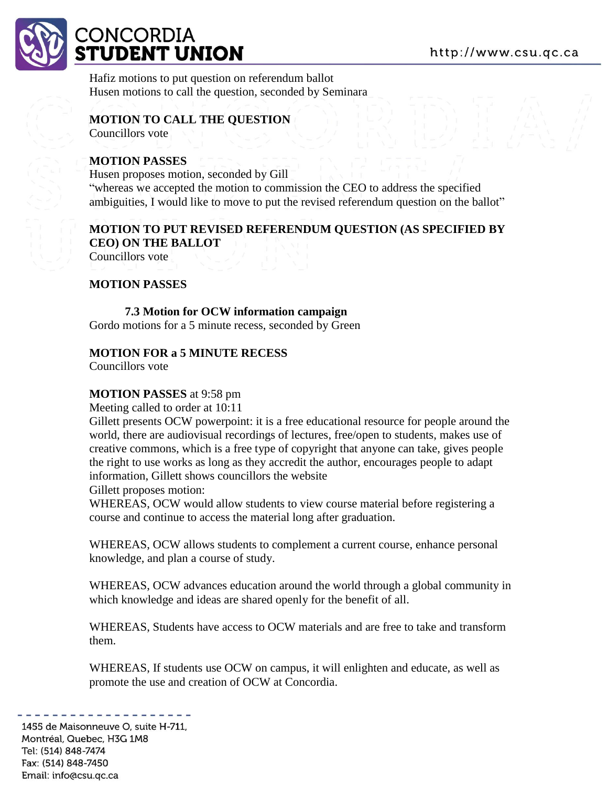

# **ONCORDIA TUDENT UNION**

Hafiz motions to put question on referendum ballot Husen motions to call the question, seconded by Seminara

# **MOTION TO CALL THE QUESTION**

Councillors vote

#### **MOTION PASSES**

Husen proposes motion, seconded by Gill "whereas we accepted the motion to commission the CEO to address the specified ambiguities, I would like to move to put the revised referendum question on the ballot"

# **MOTION TO PUT REVISED REFERENDUM QUESTION (AS SPECIFIED BY CEO) ON THE BALLOT**

Councillors vote

#### **MOTION PASSES**

**7.3 Motion for OCW information campaign**  Gordo motions for a 5 minute recess, seconded by Green

### **MOTION FOR a 5 MINUTE RECESS**

Councillors vote

#### **MOTION PASSES** at 9:58 pm

Meeting called to order at 10:11

Gillett presents OCW powerpoint: it is a free educational resource for people around the world, there are audiovisual recordings of lectures, free/open to students, makes use of creative commons, which is a free type of copyright that anyone can take, gives people the right to use works as long as they accredit the author, encourages people to adapt information, Gillett shows councillors the website

Gillett proposes motion:

WHEREAS, OCW would allow students to view course material before registering a course and continue to access the material long after graduation.

WHEREAS, OCW allows students to complement a current course, enhance personal knowledge, and plan a course of study.

WHEREAS, OCW advances education around the world through a global community in which knowledge and ideas are shared openly for the benefit of all.

WHEREAS, Students have access to OCW materials and are free to take and transform them.

WHEREAS, If students use OCW on campus, it will enlighten and educate, as well as promote the use and creation of OCW at Concordia.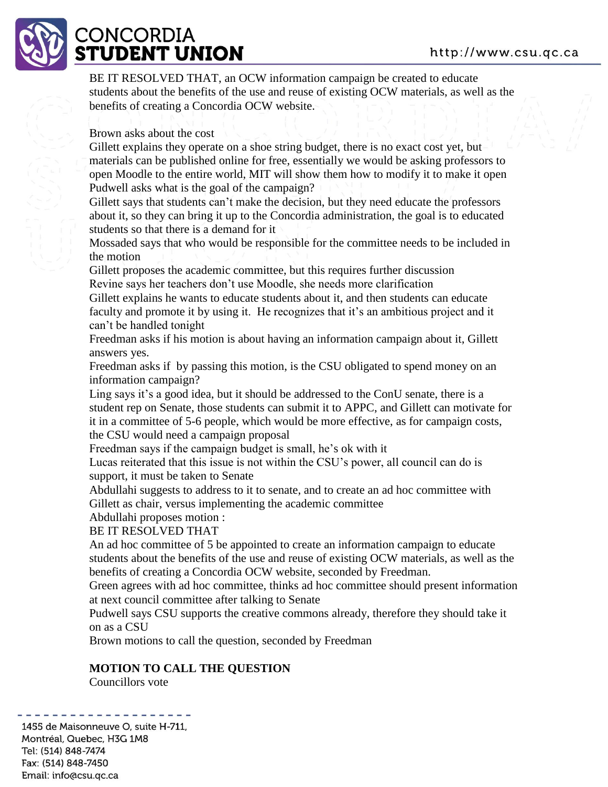# **CONCORDIA :TUDENT UNION**

BE IT RESOLVED THAT, an OCW information campaign be created to educate students about the benefits of the use and reuse of existing OCW materials, as well as the benefits of creating a Concordia OCW website.

Brown asks about the cost

Gillett explains they operate on a shoe string budget, there is no exact cost yet, but materials can be published online for free, essentially we would be asking professors to open Moodle to the entire world, MIT will show them how to modify it to make it open Pudwell asks what is the goal of the campaign?

Gillett says that students can't make the decision, but they need educate the professors about it, so they can bring it up to the Concordia administration, the goal is to educated students so that there is a demand for it

Mossaded says that who would be responsible for the committee needs to be included in the motion

Gillett proposes the academic committee, but this requires further discussion Revine says her teachers don't use Moodle, she needs more clarification

Gillett explains he wants to educate students about it, and then students can educate faculty and promote it by using it. He recognizes that it's an ambitious project and it can't be handled tonight

Freedman asks if his motion is about having an information campaign about it, Gillett answers yes.

Freedman asks if by passing this motion, is the CSU obligated to spend money on an information campaign?

Ling says it's a good idea, but it should be addressed to the ConU senate, there is a student rep on Senate, those students can submit it to APPC, and Gillett can motivate for it in a committee of 5-6 people, which would be more effective, as for campaign costs, the CSU would need a campaign proposal

Freedman says if the campaign budget is small, he's ok with it

Lucas reiterated that this issue is not within the CSU's power, all council can do is support, it must be taken to Senate

Abdullahi suggests to address to it to senate, and to create an ad hoc committee with Gillett as chair, versus implementing the academic committee

Abdullahi proposes motion :

### BE IT RESOLVED THAT

An ad hoc committee of 5 be appointed to create an information campaign to educate students about the benefits of the use and reuse of existing OCW materials, as well as the benefits of creating a Concordia OCW website, seconded by Freedman.

Green agrees with ad hoc committee, thinks ad hoc committee should present information at next council committee after talking to Senate

Pudwell says CSU supports the creative commons already, therefore they should take it on as a CSU

Brown motions to call the question, seconded by Freedman

# **MOTION TO CALL THE QUESTION**

Councillors vote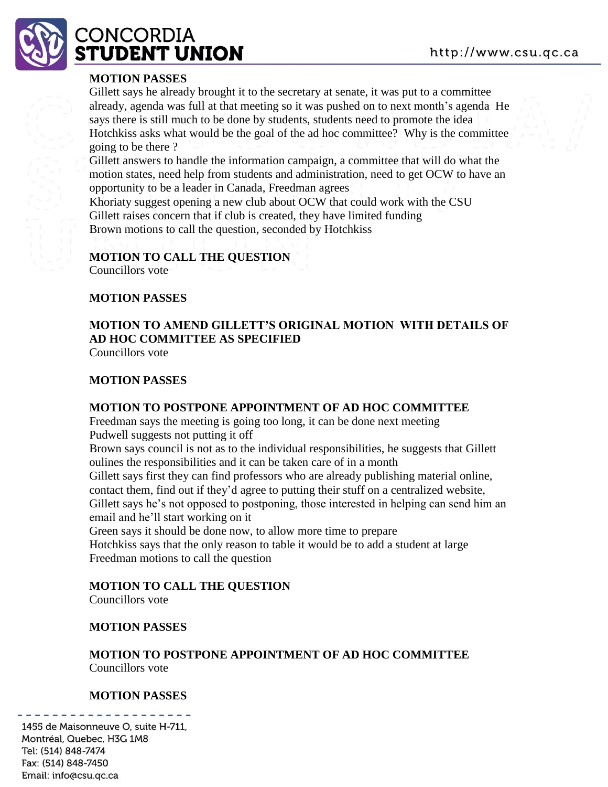

# **MOTION PASSES**

Gillett says he already brought it to the secretary at senate, it was put to a committee already, agenda was full at that meeting so it was pushed on to next month's agenda He says there is still much to be done by students, students need to promote the idea Hotchkiss asks what would be the goal of the ad hoc committee? Why is the committee going to be there ?

Gillett answers to handle the information campaign, a committee that will do what the motion states, need help from students and administration, need to get OCW to have an opportunity to be a leader in Canada, Freedman agrees

Khoriaty suggest opening a new club about OCW that could work with the CSU Gillett raises concern that if club is created, they have limited funding Brown motions to call the question, seconded by Hotchkiss

# **MOTION TO CALL THE QUESTION**

Councillors vote

# **MOTION PASSES**

#### **MOTION TO AMEND GILLETT'S ORIGINAL MOTION WITH DETAILS OF AD HOC COMMITTEE AS SPECIFIED**  Councillors vote

# **MOTION PASSES**

### **MOTION TO POSTPONE APPOINTMENT OF AD HOC COMMITTEE**

Freedman says the meeting is going too long, it can be done next meeting Pudwell suggests not putting it off

Brown says council is not as to the individual responsibilities, he suggests that Gillett oulines the responsibilities and it can be taken care of in a month

Gillett says first they can find professors who are already publishing material online, contact them, find out if they'd agree to putting their stuff on a centralized website, Gillett says he's not opposed to postponing, those interested in helping can send him an email and he'll start working on it

Green says it should be done now, to allow more time to prepare

Hotchkiss says that the only reason to table it would be to add a student at large Freedman motions to call the question

### **MOTION TO CALL THE QUESTION**

Councillors vote

### **MOTION PASSES**

### **MOTION TO POSTPONE APPOINTMENT OF AD HOC COMMITTEE**  Councillors vote

### **MOTION PASSES**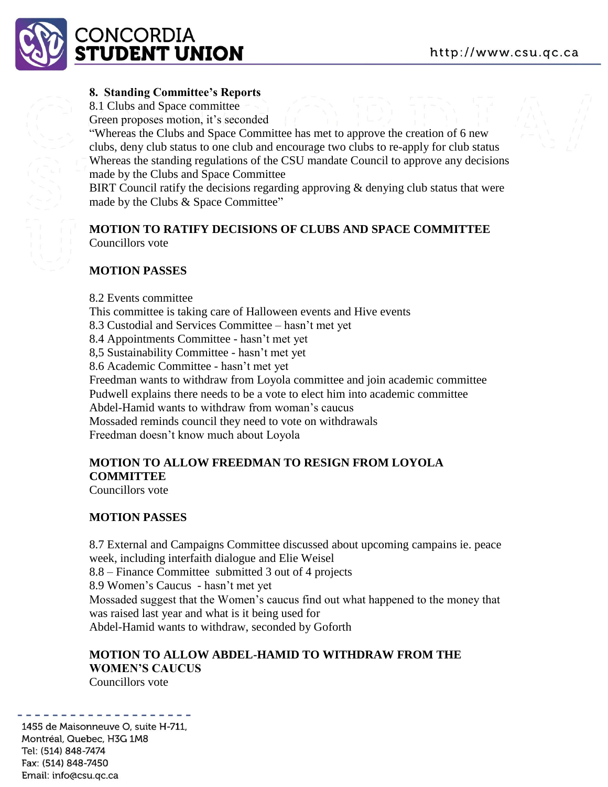

#### **8. Standing Committee's Reports**

8.1 Clubs and Space committee

Green proposes motion, it's seconded

"Whereas the Clubs and Space Committee has met to approve the creation of 6 new clubs, deny club status to one club and encourage two clubs to re-apply for club status Whereas the standing regulations of the CSU mandate Council to approve any decisions made by the Clubs and Space Committee

BIRT Council ratify the decisions regarding approving & denying club status that were made by the Clubs & Space Committee"

### **MOTION TO RATIFY DECISIONS OF CLUBS AND SPACE COMMITTEE** Councillors vote

# **MOTION PASSES**

8.2 Events committee This committee is taking care of Halloween events and Hive events 8.3 Custodial and Services Committee – hasn't met yet 8.4 Appointments Committee - hasn't met yet 8,5 Sustainability Committee - hasn't met yet 8.6 Academic Committee - hasn't met yet Freedman wants to withdraw from Loyola committee and join academic committee Pudwell explains there needs to be a vote to elect him into academic committee Abdel-Hamid wants to withdraw from woman's caucus Mossaded reminds council they need to vote on withdrawals Freedman doesn't know much about Loyola

# **MOTION TO ALLOW FREEDMAN TO RESIGN FROM LOYOLA COMMITTEE**

Councillors vote

### **MOTION PASSES**

8.7 External and Campaigns Committee discussed about upcoming campains ie. peace week, including interfaith dialogue and Elie Weisel 8.8 – Finance Committee submitted 3 out of 4 projects 8.9 Women's Caucus - hasn't met yet Mossaded suggest that the Women's caucus find out what happened to the money that was raised last year and what is it being used for Abdel-Hamid wants to withdraw, seconded by Goforth

# **MOTION TO ALLOW ABDEL-HAMID TO WITHDRAW FROM THE**

**WOMEN'S CAUCUS** Councillors vote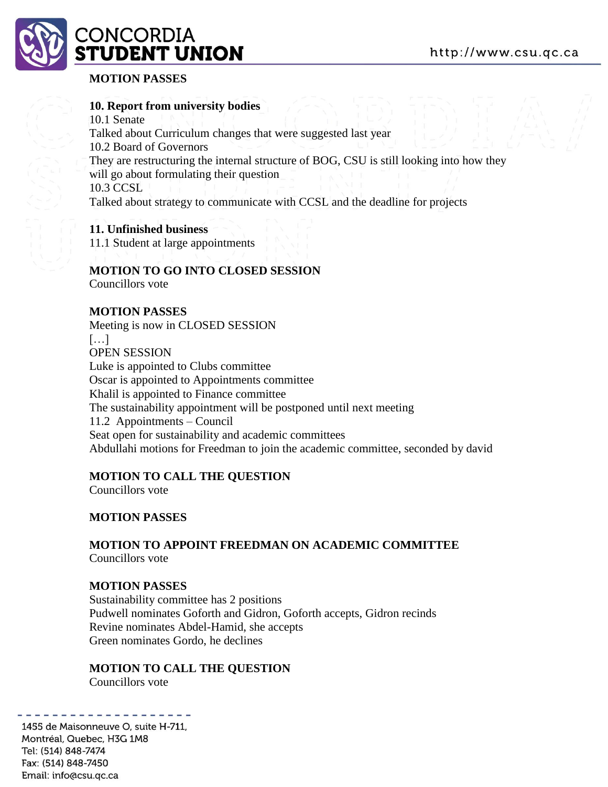



#### **MOTION PASSES**

#### **10. Report from university bodies**

10.1 Senate Talked about Curriculum changes that were suggested last year 10.2 Board of Governors They are restructuring the internal structure of BOG, CSU is still looking into how they will go about formulating their question 10.3 CCSL Talked about strategy to communicate with CCSL and the deadline for projects

#### **11. Unfinished business**

11.1 Student at large appointments

# **MOTION TO GO INTO CLOSED SESSION**

Councillors vote

#### **MOTION PASSES**

Meeting is now in CLOSED SESSION […] OPEN SESSION Luke is appointed to Clubs committee Oscar is appointed to Appointments committee Khalil is appointed to Finance committee The sustainability appointment will be postponed until next meeting 11.2 Appointments – Council Seat open for sustainability and academic committees Abdullahi motions for Freedman to join the academic committee, seconded by david

### **MOTION TO CALL THE QUESTION**

Councillors vote

### **MOTION PASSES**

**MOTION TO APPOINT FREEDMAN ON ACADEMIC COMMITTEE** Councillors vote

#### **MOTION PASSES**

Sustainability committee has 2 positions Pudwell nominates Goforth and Gidron, Goforth accepts, Gidron recinds Revine nominates Abdel-Hamid, she accepts Green nominates Gordo, he declines

#### **MOTION TO CALL THE QUESTION**

Councillors vote